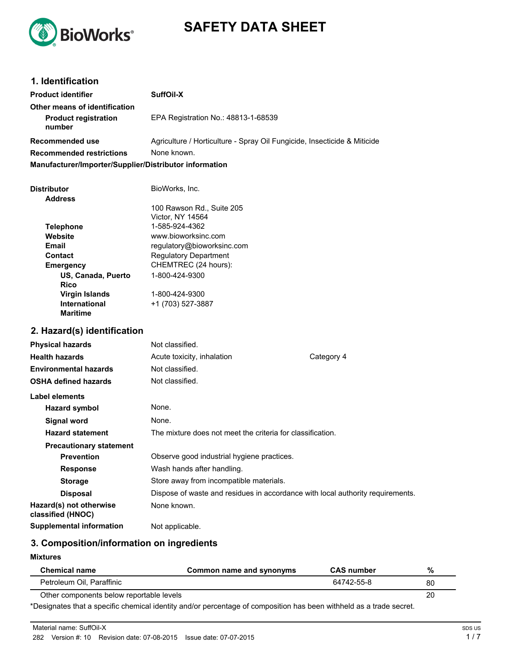

# **SAFETY DATA SHEET**

| 1. Identification                                      |                                                                                |            |  |
|--------------------------------------------------------|--------------------------------------------------------------------------------|------------|--|
| <b>Product identifier</b>                              | SuffOil-X                                                                      |            |  |
| Other means of identification                          |                                                                                |            |  |
| <b>Product registration</b><br>number                  | EPA Registration No.: 48813-1-68539                                            |            |  |
| Recommended use                                        | Agriculture / Horticulture - Spray Oil Fungicide, Insecticide & Miticide       |            |  |
| <b>Recommended restrictions</b>                        | None known.                                                                    |            |  |
| Manufacturer/Importer/Supplier/Distributor information |                                                                                |            |  |
|                                                        |                                                                                |            |  |
| <b>Distributor</b>                                     | BioWorks, Inc.                                                                 |            |  |
| <b>Address</b>                                         |                                                                                |            |  |
|                                                        | 100 Rawson Rd., Suite 205<br>Victor, NY 14564                                  |            |  |
| <b>Telephone</b>                                       | 1-585-924-4362                                                                 |            |  |
| Website                                                | www.bioworksinc.com                                                            |            |  |
| Email                                                  | regulatory@bioworksinc.com                                                     |            |  |
| <b>Contact</b>                                         | <b>Regulatory Department</b>                                                   |            |  |
| <b>Emergency</b>                                       | CHEMTREC (24 hours):                                                           |            |  |
| US, Canada, Puerto<br><b>Rico</b>                      | 1-800-424-9300                                                                 |            |  |
| <b>Virgin Islands</b>                                  | 1-800-424-9300                                                                 |            |  |
| <b>International</b><br><b>Maritime</b>                | +1 (703) 527-3887                                                              |            |  |
| 2. Hazard(s) identification                            |                                                                                |            |  |
| <b>Physical hazards</b>                                | Not classified.                                                                |            |  |
| <b>Health hazards</b>                                  | Acute toxicity, inhalation                                                     | Category 4 |  |
| <b>Environmental hazards</b>                           | Not classified.                                                                |            |  |
| <b>OSHA defined hazards</b>                            | Not classified.                                                                |            |  |
| Label elements                                         |                                                                                |            |  |
| <b>Hazard symbol</b>                                   | None.                                                                          |            |  |
| <b>Signal word</b>                                     | None.                                                                          |            |  |
| <b>Hazard statement</b>                                | The mixture does not meet the criteria for classification.                     |            |  |
| <b>Precautionary statement</b>                         |                                                                                |            |  |
| <b>Prevention</b>                                      | Observe good industrial hygiene practices.                                     |            |  |
| <b>Response</b>                                        | Wash hands after handling.                                                     |            |  |
| <b>Storage</b>                                         | Store away from incompatible materials.                                        |            |  |
| <b>Disposal</b>                                        | Dispose of waste and residues in accordance with local authority requirements. |            |  |
| Hazard(s) not otherwise<br>classified (HNOC)           | None known.                                                                    |            |  |
| <b>Supplemental information</b>                        | Not applicable.                                                                |            |  |

## **3. Composition/information on ingredients**

#### **Mixtures**

| <b>Chemical name</b>                     | Common name and synonyms | <b>CAS number</b> | %  |
|------------------------------------------|--------------------------|-------------------|----|
| Petroleum Oil, Paraffinic                |                          | 64742-55-8        | 80 |
| Other components below reportable levels |                          |                   | 20 |

\*Designates that a specific chemical identity and/or percentage of composition has been withheld as a trade secret.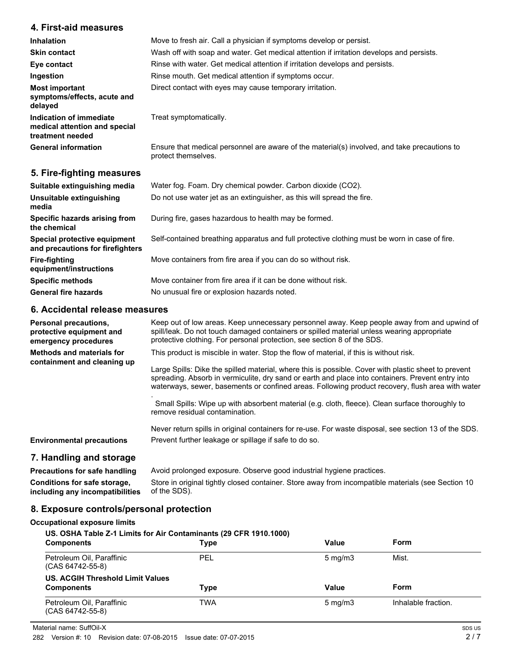## **4. First-aid measures**

| <b>Inhalation</b>                                                            | Move to fresh air. Call a physician if symptoms develop or persist.                                                 |  |
|------------------------------------------------------------------------------|---------------------------------------------------------------------------------------------------------------------|--|
| <b>Skin contact</b>                                                          | Wash off with soap and water. Get medical attention if irritation develops and persists.                            |  |
| Eye contact                                                                  | Rinse with water. Get medical attention if irritation develops and persists.                                        |  |
| Ingestion                                                                    | Rinse mouth. Get medical attention if symptoms occur.                                                               |  |
| <b>Most important</b><br>symptoms/effects, acute and<br>delayed              | Direct contact with eyes may cause temporary irritation.                                                            |  |
| Indication of immediate<br>medical attention and special<br>treatment needed | Treat symptomatically.                                                                                              |  |
| <b>General information</b>                                                   | Ensure that medical personnel are aware of the material(s) involved, and take precautions to<br>protect themselves. |  |

## **5. Fire-fighting measures**

| Suitable extinguishing media                                     | Water fog. Foam. Dry chemical powder. Carbon dioxide (CO2).                                   |
|------------------------------------------------------------------|-----------------------------------------------------------------------------------------------|
| Unsuitable extinguishing<br>media                                | Do not use water jet as an extinguisher, as this will spread the fire.                        |
| Specific hazards arising from<br>the chemical                    | During fire, gases hazardous to health may be formed.                                         |
| Special protective equipment<br>and precautions for firefighters | Self-contained breathing apparatus and full protective clothing must be worn in case of fire. |
| Fire-fighting<br>equipment/instructions                          | Move containers from fire area if you can do so without risk.                                 |
| <b>Specific methods</b>                                          | Move container from fire area if it can be done without risk.                                 |
| <b>General fire hazards</b>                                      | No unusual fire or explosion hazards noted.                                                   |

## **6. Accidental release measures**

| <b>Personal precautions,</b><br>protective equipment and<br>emergency procedures | Keep out of low areas. Keep unnecessary personnel away. Keep people away from and upwind of<br>spill/leak. Do not touch damaged containers or spilled material unless wearing appropriate<br>protective clothing. For personal protection, see section 8 of the SDS.                                                                                                                                                                                                                                                                         |  |
|----------------------------------------------------------------------------------|----------------------------------------------------------------------------------------------------------------------------------------------------------------------------------------------------------------------------------------------------------------------------------------------------------------------------------------------------------------------------------------------------------------------------------------------------------------------------------------------------------------------------------------------|--|
| Methods and materials for<br>containment and cleaning up                         | This product is miscible in water. Stop the flow of material, if this is without risk.<br>Large Spills: Dike the spilled material, where this is possible. Cover with plastic sheet to prevent<br>spreading. Absorb in vermiculite, dry sand or earth and place into containers. Prevent entry into<br>waterways, sewer, basements or confined areas. Following product recovery, flush area with water<br>Small Spills: Wipe up with absorbent material (e.g. cloth, fleece). Clean surface thoroughly to<br>remove residual contamination. |  |
| <b>Environmental precautions</b>                                                 | Never return spills in original containers for re-use. For waste disposal, see section 13 of the SDS.<br>Prevent further leakage or spillage if safe to do so.                                                                                                                                                                                                                                                                                                                                                                               |  |

## **7. Handling and storage**

**Precautions for safe handling** Avoid prolonged exposure. Observe good industrial hygiene practices. **Conditions for safe storage, including any incompatibilities** Store in original tightly closed container. Store away from incompatible materials (see Section 10 of the SDS).

## **8. Exposure controls/personal protection**

#### **Occupational exposure limits**

| US. OSHA Table Z-1 Limits for Air Contaminants (29 CFR 1910.1000) |      |                  |                     |
|-------------------------------------------------------------------|------|------------------|---------------------|
| <b>Components</b>                                                 | Type | Value            | Form                |
| Petroleum Oil, Paraffinic<br>(CAS 64742-55-8)                     | PEL  | $5 \text{ mg/m}$ | Mist.               |
| US. ACGIH Threshold Limit Values                                  |      |                  |                     |
| <b>Components</b>                                                 | Type | Value            | Form                |
| Petroleum Oil, Paraffinic<br>(CAS 64742-55-8)                     | TWA  | $5 \text{ mg/m}$ | Inhalable fraction. |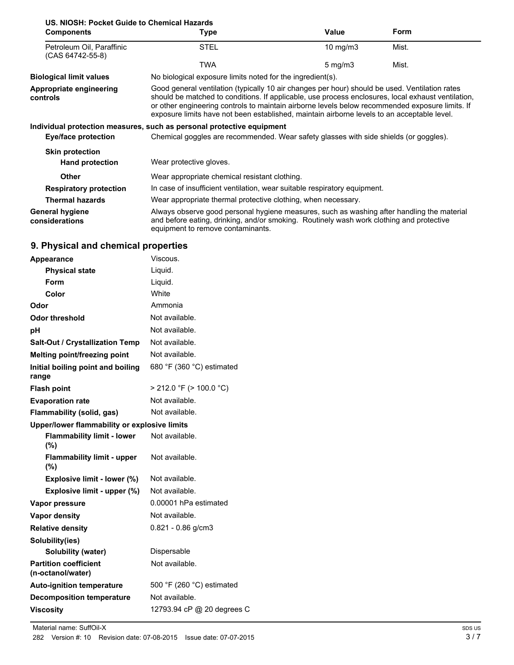## **US. NIOSH: Pocket Guide to Chemical Hazards**

| <b>Components</b>                             | Type                                                                                                                                                                                                                                                                                                                                                                                                   | Value               | Form  |
|-----------------------------------------------|--------------------------------------------------------------------------------------------------------------------------------------------------------------------------------------------------------------------------------------------------------------------------------------------------------------------------------------------------------------------------------------------------------|---------------------|-------|
| Petroleum Oil, Paraffinic<br>(CAS 64742-55-8) | <b>STEL</b>                                                                                                                                                                                                                                                                                                                                                                                            | $10 \text{ mg/m}$   | Mist. |
|                                               | TWA                                                                                                                                                                                                                                                                                                                                                                                                    | $5 \,\mathrm{mg/m}$ | Mist. |
| <b>Biological limit values</b>                | No biological exposure limits noted for the ingredient(s).                                                                                                                                                                                                                                                                                                                                             |                     |       |
| Appropriate engineering<br>controls           | Good general ventilation (typically 10 air changes per hour) should be used. Ventilation rates<br>should be matched to conditions. If applicable, use process enclosures, local exhaust ventilation,<br>or other engineering controls to maintain airborne levels below recommended exposure limits. If<br>exposure limits have not been established, maintain airborne levels to an acceptable level. |                     |       |
|                                               | Individual protection measures, such as personal protective equipment                                                                                                                                                                                                                                                                                                                                  |                     |       |
| <b>Eye/face protection</b>                    | Chemical goggles are recommended. Wear safety glasses with side shields (or goggles).                                                                                                                                                                                                                                                                                                                  |                     |       |
| <b>Skin protection</b>                        |                                                                                                                                                                                                                                                                                                                                                                                                        |                     |       |
| <b>Hand protection</b>                        | Wear protective gloves.                                                                                                                                                                                                                                                                                                                                                                                |                     |       |
| <b>Other</b>                                  | Wear appropriate chemical resistant clothing.                                                                                                                                                                                                                                                                                                                                                          |                     |       |
| <b>Respiratory protection</b>                 | In case of insufficient ventilation, wear suitable respiratory equipment.                                                                                                                                                                                                                                                                                                                              |                     |       |
| <b>Thermal hazards</b>                        | Wear appropriate thermal protective clothing, when necessary.                                                                                                                                                                                                                                                                                                                                          |                     |       |
| <b>General hygiene</b><br>considerations      | Always observe good personal hygiene measures, such as washing after handling the material<br>and before eating, drinking, and/or smoking. Routinely wash work clothing and protective<br>equipment to remove contaminants.                                                                                                                                                                            |                     |       |

## **9. Physical and chemical properties**

| Appearance                                        | Viscous.                     |
|---------------------------------------------------|------------------------------|
| <b>Physical state</b>                             | Liquid.                      |
| Form                                              | Liquid.                      |
| Color                                             | White                        |
| Odor                                              | Ammonia                      |
| <b>Odor threshold</b>                             | Not available.               |
| рH                                                | Not available.               |
| <b>Salt-Out / Crystallization Temp</b>            | Not available.               |
| Melting point/freezing point                      | Not available.               |
| Initial boiling point and boiling                 | 680 °F (360 °C) estimated    |
| range                                             |                              |
| <b>Flash point</b>                                | $>$ 212.0 °F ( $>$ 100.0 °C) |
| <b>Evaporation rate</b>                           | Not available.               |
| Flammability (solid, gas)                         | Not available.               |
| Upper/lower flammability or explosive limits      |                              |
| <b>Flammability limit - lower</b><br>(%)          | Not available.               |
| <b>Flammability limit - upper</b><br>$(\%)$       | Not available.               |
| Explosive limit - lower (%)                       | Not available.               |
| Explosive limit - upper (%)                       | Not available.               |
| Vapor pressure                                    | 0.00001 hPa estimated        |
| <b>Vapor density</b>                              | Not available.               |
| <b>Relative density</b>                           | $0.821 - 0.86$ g/cm3         |
| Solubility(ies)                                   |                              |
| Solubility (water)                                | Dispersable                  |
| <b>Partition coefficient</b><br>(n-octanol/water) | Not available.               |
| <b>Auto-ignition temperature</b>                  | 500 °F (260 °C) estimated    |
| <b>Decomposition temperature</b>                  | Not available.               |
| <b>Viscosity</b>                                  | 12793.94 cP @ 20 degrees C   |
|                                                   |                              |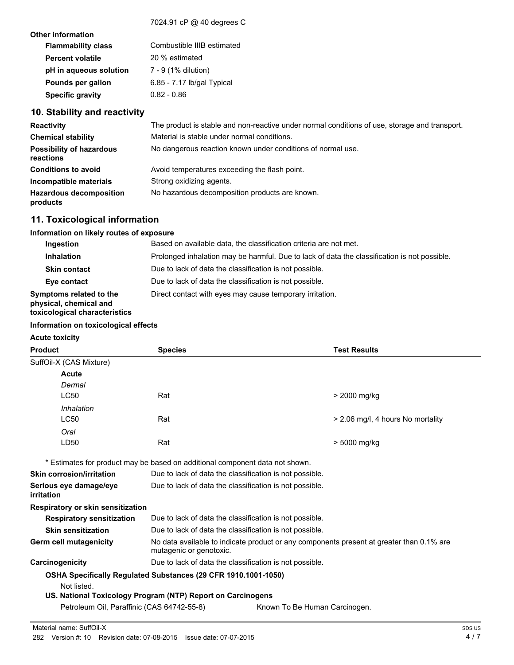#### 7024.91 cP @ 40 degrees C

| <b>Other information</b>  |                            |
|---------------------------|----------------------------|
| <b>Flammability class</b> | Combustible IIIB estimated |
| <b>Percent volatile</b>   | 20 % estimated             |
| pH in aqueous solution    | 7 - 9 (1% dilution)        |
| Pounds per gallon         | 6.85 - 7.17 lb/gal Typical |
| <b>Specific gravity</b>   | $0.82 - 0.86$              |
|                           |                            |

## **10. Stability and reactivity**

| <b>Reactivity</b>                            | The product is stable and non-reactive under normal conditions of use, storage and transport. |  |
|----------------------------------------------|-----------------------------------------------------------------------------------------------|--|
| <b>Chemical stability</b>                    | Material is stable under normal conditions.                                                   |  |
| <b>Possibility of hazardous</b><br>reactions | No dangerous reaction known under conditions of normal use.                                   |  |
| <b>Conditions to avoid</b>                   | Avoid temperatures exceeding the flash point.                                                 |  |
| Incompatible materials                       | Strong oxidizing agents.                                                                      |  |
| <b>Hazardous decomposition</b><br>products   | No hazardous decomposition products are known.                                                |  |

## **11. Toxicological information**

#### **Information on likely routes of exposure**

| Ingestion                                                                          | Based on available data, the classification criteria are not met.                            |  |
|------------------------------------------------------------------------------------|----------------------------------------------------------------------------------------------|--|
| <b>Inhalation</b>                                                                  | Prolonged inhalation may be harmful. Due to lack of data the classification is not possible. |  |
| <b>Skin contact</b>                                                                | Due to lack of data the classification is not possible.                                      |  |
| Eye contact                                                                        | Due to lack of data the classification is not possible.                                      |  |
| Symptoms related to the<br>physical, chemical and<br>toxicological characteristics | Direct contact with eyes may cause temporary irritation.                                     |  |

#### **Information on toxicological effects**

**Acute toxicity**

| <b>Product</b>                        | <b>Species</b> | <b>Test Results</b>               |
|---------------------------------------|----------------|-----------------------------------|
| SuffOil-X (CAS Mixture)               |                |                                   |
| <b>Acute</b><br>Dermal<br><b>LC50</b> | Rat            | > 2000 mg/kg                      |
| Inhalation<br>LC50                    | Rat            | > 2.06 mg/l, 4 hours No mortality |
| Oral<br>LD50                          | Rat            | > 5000 mg/kg                      |

\* Estimates for product may be based on additional component data not shown.

| <b>Skin corrosion/irritation</b>                                      | Due to lack of data the classification is not possible.                                                             |                               |  |
|-----------------------------------------------------------------------|---------------------------------------------------------------------------------------------------------------------|-------------------------------|--|
| Serious eye damage/eye<br>irritation                                  | Due to lack of data the classification is not possible.                                                             |                               |  |
| Respiratory or skin sensitization                                     |                                                                                                                     |                               |  |
| <b>Respiratory sensitization</b>                                      | Due to lack of data the classification is not possible.                                                             |                               |  |
| <b>Skin sensitization</b>                                             | Due to lack of data the classification is not possible.                                                             |                               |  |
| Germ cell mutagenicity                                                | No data available to indicate product or any components present at greater than 0.1% are<br>mutagenic or genotoxic. |                               |  |
| Carcinogenicity                                                       | Due to lack of data the classification is not possible.                                                             |                               |  |
| <b>OSHA Specifically Requiated Substances (29 CFR 1910.1001-1050)</b> |                                                                                                                     |                               |  |
| Not listed.                                                           |                                                                                                                     |                               |  |
| US. National Toxicology Program (NTP) Report on Carcinogens           |                                                                                                                     |                               |  |
| Petroleum Oil, Paraffinic (CAS 64742-55-8)                            |                                                                                                                     | Known To Be Human Carcinogen. |  |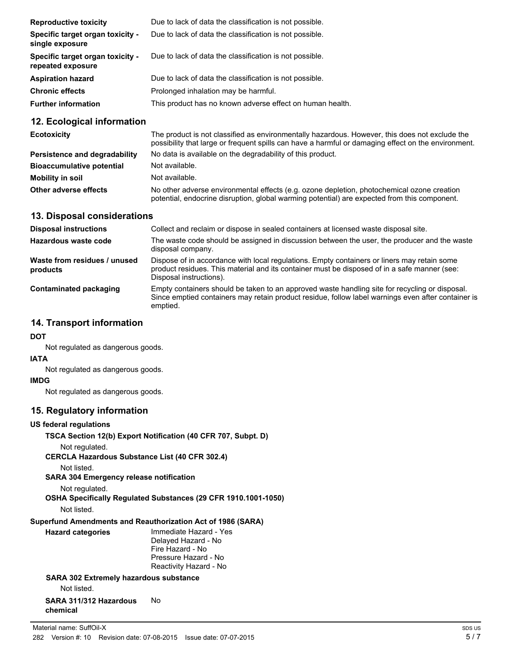| <b>Reproductive toxicity</b>                          | Due to lack of data the classification is not possible.   |
|-------------------------------------------------------|-----------------------------------------------------------|
| Specific target organ toxicity -<br>single exposure   | Due to lack of data the classification is not possible.   |
| Specific target organ toxicity -<br>repeated exposure | Due to lack of data the classification is not possible.   |
| <b>Aspiration hazard</b>                              | Due to lack of data the classification is not possible.   |
| <b>Chronic effects</b>                                | Prolonged inhalation may be harmful.                      |
| <b>Further information</b>                            | This product has no known adverse effect on human health. |

## **12. Ecological information**

| <b>Ecotoxicity</b>                   | The product is not classified as environmentally hazardous. However, this does not exclude the<br>possibility that large or frequent spills can have a harmful or damaging effect on the environment. |
|--------------------------------------|-------------------------------------------------------------------------------------------------------------------------------------------------------------------------------------------------------|
| <b>Persistence and degradability</b> | No data is available on the degradability of this product.                                                                                                                                            |
| <b>Bioaccumulative potential</b>     | Not available.                                                                                                                                                                                        |
| Mobility in soil                     | Not available.                                                                                                                                                                                        |
| Other adverse effects                | No other adverse environmental effects (e.g. ozone depletion, photochemical ozone creation<br>potential, endocrine disruption, global warming potential) are expected from this component.            |

## **13. Disposal considerations**

| <b>Disposal instructions</b>             | Collect and reclaim or dispose in sealed containers at licensed waste disposal site.                                                                                                                                   |
|------------------------------------------|------------------------------------------------------------------------------------------------------------------------------------------------------------------------------------------------------------------------|
| Hazardous waste code                     | The waste code should be assigned in discussion between the user, the producer and the waste<br>disposal company.                                                                                                      |
| Waste from residues / unused<br>products | Dispose of in accordance with local regulations. Empty containers or liners may retain some<br>product residues. This material and its container must be disposed of in a safe manner (see:<br>Disposal instructions). |
| Contaminated packaging                   | Empty containers should be taken to an approved waste handling site for recycling or disposal.<br>Since emptied containers may retain product residue, follow label warnings even after container is<br>emptied.       |

## **14. Transport information**

**DOT**

Not regulated as dangerous goods.

## **IATA**

Not regulated as dangerous goods.

#### **IMDG**

Not regulated as dangerous goods.

## **15. Regulatory information**

#### **US federal regulations**

**TSCA Section 12(b) Export Notification (40 CFR 707, Subpt. D)**

Not regulated.

**CERCLA Hazardous Substance List (40 CFR 302.4)**

Not listed.

**SARA 304 Emergency release notification**

```
Not regulated.
```
**OSHA Specifically Regulated Substances (29 CFR 1910.1001-1050)**

```
Not listed.
```
#### **Superfund Amendments and Reauthorization Act of 1986 (SARA)**

| <b>Hazard categories</b> | Immediate Hazard - Yes |
|--------------------------|------------------------|
|                          | Delayed Hazard - No    |
|                          | Fire Hazard - No       |
|                          | Pressure Hazard - No   |
|                          | Reactivity Hazard - No |
|                          |                        |

## **SARA 302 Extremely hazardous substance** Not listed.

#### **SARA 311/312 Hazardous chemical** No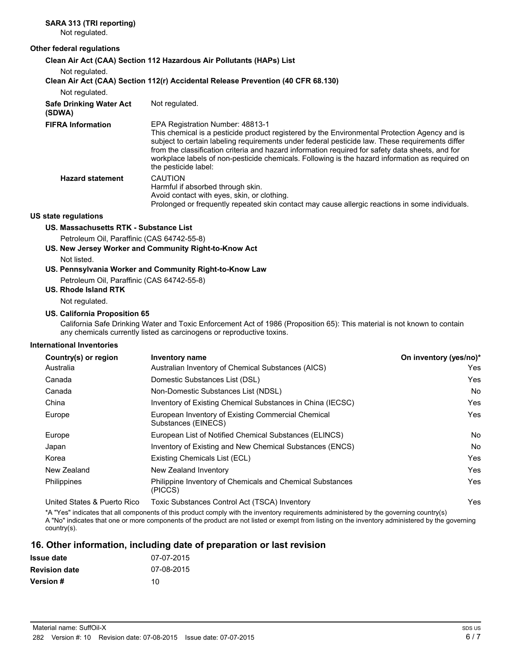## **SARA 313 (TRI reporting)**

Not regulated.

#### **Other federal regulations**

**Clean Air Act (CAA) Section 112 Hazardous Air Pollutants (HAPs) List**

Not regulated.

| Not regulated.                           | Clean Air Act (CAA) Section 112(r) Accidental Release Prevention (40 CFR 68.130)                                                                                                                                                                                                                                                                                                                                                                                    |
|------------------------------------------|---------------------------------------------------------------------------------------------------------------------------------------------------------------------------------------------------------------------------------------------------------------------------------------------------------------------------------------------------------------------------------------------------------------------------------------------------------------------|
| <b>Safe Drinking Water Act</b><br>(SDWA) | Not regulated.                                                                                                                                                                                                                                                                                                                                                                                                                                                      |
| <b>FIFRA Information</b>                 | EPA Registration Number: 48813-1<br>This chemical is a pesticide product registered by the Environmental Protection Agency and is<br>subject to certain labeling requirements under federal pesticide law. These requirements differ<br>from the classification criteria and hazard information required for safety data sheets, and for<br>workplace labels of non-pesticide chemicals. Following is the hazard information as required on<br>the pesticide label: |
| <b>Hazard statement</b>                  | <b>CAUTION</b><br>Harmful if absorbed through skin.<br>Avoid contact with eyes, skin, or clothing.<br>Prolonged or frequently repeated skin contact may cause allergic reactions in some individuals.                                                                                                                                                                                                                                                               |

#### **US state regulations**

#### **US. Massachusetts RTK - Substance List**

Petroleum Oil, Paraffinic (CAS 64742-55-8)

**US. New Jersey Worker and Community Right-to-Know Act**

Not listed.

## **US. Pennsylvania Worker and Community Right-to-Know Law**

Petroleum Oil, Paraffinic (CAS 64742-55-8)

**US. Rhode Island RTK**

Not regulated.

#### **US. California Proposition 65**

California Safe Drinking Water and Toxic Enforcement Act of 1986 (Proposition 65): This material is not known to contain any chemicals currently listed as carcinogens or reproductive toxins.

#### **International Inventories**

| Country(s) or region        | Inventory name                                                            | On inventory (yes/no)* |
|-----------------------------|---------------------------------------------------------------------------|------------------------|
| Australia                   | Australian Inventory of Chemical Substances (AICS)                        | Yes                    |
| Canada                      | Domestic Substances List (DSL)                                            | Yes                    |
| Canada                      | Non-Domestic Substances List (NDSL)                                       | No                     |
| China                       | Inventory of Existing Chemical Substances in China (IECSC)                | Yes                    |
| Europe                      | European Inventory of Existing Commercial Chemical<br>Substances (EINECS) | Yes                    |
| Europe                      | European List of Notified Chemical Substances (ELINCS)                    | No                     |
| Japan                       | Inventory of Existing and New Chemical Substances (ENCS)                  | No                     |
| Korea                       | Existing Chemicals List (ECL)                                             | Yes                    |
| New Zealand                 | New Zealand Inventory                                                     | Yes                    |
| Philippines                 | Philippine Inventory of Chemicals and Chemical Substances<br>(PICCS)      | Yes                    |
| United States & Puerto Rico | Toxic Substances Control Act (TSCA) Inventory                             | Yes                    |

\*A "Yes" indicates that all components of this product comply with the inventory requirements administered by the governing country(s) A "No" indicates that one or more components of the product are not listed or exempt from listing on the inventory administered by the governing country(s).

## **16. Other information, including date of preparation or last revision**

| Issue date           | 07-07-2015 |
|----------------------|------------|
| <b>Revision date</b> | 07-08-2015 |
| <b>Version</b> #     | 10         |